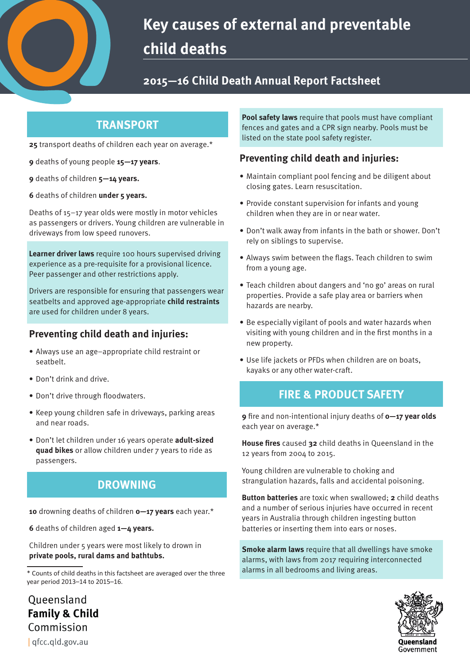

# **Key causes of external and preventable child deaths**

## **2015—16 Child Death Annual Report Factsheet**

## **TRANSPORT**

**25** transport deaths of children each year on average.\*

- **9** deaths of young people **15—17 years**.
- **9** deaths of children **5—14 years.**
- **6** deaths of children **under 5 years.**

Deaths of 15–17 year olds were mostly in motor vehicles as passengers or drivers. Young children are vulnerable in driveways from low speed runovers.

**Learner driver laws** require 100 hours supervised driving experience as a pre-requisite for a provisional licence. Peer passenger and other restrictions apply.

Drivers are responsible for ensuring that passengers wear seatbelts and approved age-appropriate **child restraints** are used for children under 8 years.

#### **Preventing child death and injuries:**

- Always use an age–appropriate child restraint or seatbelt.
- Don't drink and drive.
- Don't drive through floodwaters.
- Keep young children safe in driveways, parking areas and near roads.
- Don't let children under 16 years operate **adult-sized quad bikes** or allow children under 7 years to ride as passengers.

## **DROWNING**

**10** drowning deaths of children **0—17 years** each year.\*

**6** deaths of children aged **1—4 years.**

Children under 5 years were most likely to drown in **private pools, rural dams and bathtubs.** 

**Pool safety laws** require that pools must have compliant fences and gates and a CPR sign nearby. Pools must be listed on the state pool safety register.

#### **Preventing child death and injuries:**

- Maintain compliant pool fencing and be diligent about closing gates. Learn resuscitation.
- Provide constant supervision for infants and young children when they are in or near water.
- Don't walk away from infants in the bath or shower. Don't rely on siblings to supervise.
- Always swim between the flags. Teach children to swim from a young age.
- Teach children about dangers and 'no go' areas on rural properties. Provide a safe play area or barriers when hazards are nearby.
- Be especially vigilant of pools and water hazards when visiting with young children and in the first months in a new property.
- Use life jackets or PFDs when children are on boats, kayaks or any other water-craft.

## **FIRE & PRODUCT SAFETY**

**9** fire and non-intentional injury deaths of **0-17 year olds** each year on average.\*

**House fires** caused 32 child deaths in Queensland in the 12 years from 2004 to 2015.

Young children are vulnerable to choking and strangulation hazards, falls and accidental poisoning.

**Button batteries** are toxic when swallowed; **2** child deaths and a number of serious injuries have occurred in recent years in Australia through children ingesting button batteries or inserting them into ears or noses.

**Smoke alarm laws** require that all dwellings have smoke alarms, with laws from 2017 requiring interconnected



Commission | qfcc.qld.gov.au

Oueensland **Family & Child** 

<sup>\*</sup> Counts of child deaths in this factsheet are averaged over the three alarms in all bedrooms and living areas. year period 2013–14 to 2015–16.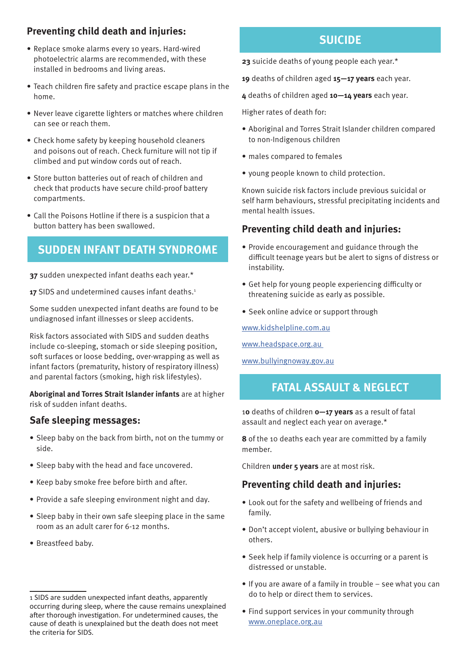#### **Preventing child death and injuries:**

- Replace smoke alarms every 10 years. Hard-wired photoelectric alarms are recommended, with these installed in bedrooms and living areas.
- Teach children fire safety and practice escape plans in the home.
- Never leave cigarette lighters or matches where children can see or reach them.
- Check home safety by keeping household cleaners and poisons out of reach. Check furniture will not tip if climbed and put window cords out of reach.
- Store button batteries out of reach of children and check that products have secure child-proof battery compartments.
- Call the Poisons Hotline if there is a suspicion that a button battery has been swallowed.

#### **SUDDEN INFANT DEATH SYNDROME**

**37** sudden unexpected infant deaths each year.\*

17 SIDS and undetermined causes infant deaths.<sup>1</sup>

Some sudden unexpected infant deaths are found to be undiagnosed infant illnesses or sleep accidents.

Risk factors associated with SIDS and sudden deaths include co-sleeping, stomach or side sleeping position, soft surfaces or loose bedding, over-wrapping as well as infant factors (prematurity, history of respiratory illness) and parental factors (smoking, high risk lifestyles).

**Aboriginal and Torres Strait Islander infants** are at higher risk of sudden infant deaths.

#### **Safe sleeping messages:**

- Sleep baby on the back from birth, not on the tummy or side.
- Sleep baby with the head and face uncovered.
- Keep baby smoke free before birth and after.
- Provide a safe sleeping environment night and day.
- Sleep baby in their own safe sleeping place in the same room as an adult carer for 6-12 months.
- Breastfeed baby.

## **SUICIDE**

**23** suicide deaths of young people each year.\*

**19** deaths of children aged **15—17 years** each year.

**4** deaths of children aged **10—14 years** each year.

Higher rates of death for:

- Aboriginal and Torres Strait Islander children compared to non-Indigenous children
- males compared to females
- young people known to child protection.

Known suicide risk factors include previous suicidal or self harm behaviours, stressful precipitating incidents and mental health issues.

#### **Preventing child death and injuries:**

- Provide encouragement and guidance through the difficult teenage years but be alert to signs of distress or instability.
- Get help for young people experiencing difficulty or threatening suicide as early as possible.
- Seek online advice or support through

www.kidshelpline.com.au

www.headspace.org.au

www.bullyingnoway.gov.au

## **FATAL ASSAULT & NEGLECT**

1**0** deaths of children **0—17 years** as a result of fatal assault and neglect each year on average.\*

**8** of the 10 deaths each year are committed by a family member.

Children **under 5 years** are at most risk.

#### **Preventing child death and injuries:**

- Look out for the safety and wellbeing of friends and family.
- Don't accept violent, abusive or bullying behaviour in others.
- Seek help if family violence is occurring or a parent is distressed or unstable.
- If you are aware of a family in trouble see what you can do to help or direct them to services.
- Find support services in your community through www.oneplace.org.au

<sup>1</sup> SIDS are sudden unexpected infant deaths, apparently occurring during sleep, where the cause remains unexplained after thorough investigation. For undetermined causes, the cause of death is unexplained but the death does not meet the criteria for SIDS.